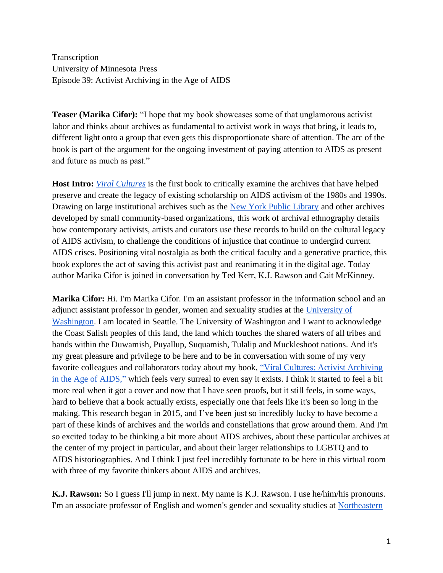**Transcription** University of Minnesota Press Episode 39: Activist Archiving in the Age of AIDS

**Teaser (Marika Cifor):** "I hope that my book showcases some of that unglamorous activist labor and thinks about archives as fundamental to activist work in ways that bring, it leads to, different light onto a group that even gets this disproportionate share of attention. The arc of the book is part of the argument for the ongoing investment of paying attention to AIDS as present and future as much as past."

**Host Intro:** *[Viral Cultures](https://www.upress.umn.edu/book-division/books/viral-cultures)* is the first book to critically examine the archives that have helped preserve and create the legacy of existing scholarship on AIDS activism of the 1980s and 1990s. Drawing on large institutional archives such as the [New York Public Library](https://www.nypl.org/) and other archives developed by small community-based organizations, this work of archival ethnography details how contemporary activists, artists and curators use these records to build on the cultural legacy of AIDS activism, to challenge the conditions of injustice that continue to undergird current AIDS crises. Positioning vital nostalgia as both the critical faculty and a generative practice, this book explores the act of saving this activist past and reanimating it in the digital age. Today author Marika Cifor is joined in conversation by Ted Kerr, K.J. Rawson and Cait McKinney.

**Marika Cifor:** Hi. I'm Marika Cifor. I'm an assistant professor in the information school and an adjunct assistant professor in gender, women and sexuality studies at the [University of](https://www.washington.edu/) [Washington.](https://www.washington.edu/) I am located in Seattle. The University of Washington and I want to acknowledge the Coast Salish peoples of this land, the land which touches the shared waters of all tribes and bands within the Duwamish, Puyallup, Suquamish, Tulalip and Muckleshoot nations. And it's my great pleasure and privilege to be here and to be in conversation with some of my very favorite colleagues and collaborators today about my book, ["Viral Cultures: Activist Archiving](https://www.upress.umn.edu/book-division/books/viral-cultures)  [in the Age of AIDS,"](https://www.upress.umn.edu/book-division/books/viral-cultures) which feels very surreal to even say it exists. I think it started to feel a bit more real when it got a cover and now that I have seen proofs, but it still feels, in some ways, hard to believe that a book actually exists, especially one that feels like it's been so long in the making. This research began in 2015, and I've been just so incredibly lucky to have become a part of these kinds of archives and the worlds and constellations that grow around them. And I'm so excited today to be thinking a bit more about AIDS archives, about these particular archives at the center of my project in particular, and about their larger relationships to LGBTQ and to AIDS historiographies. And I think I just feel incredibly fortunate to be here in this virtual room with three of my favorite thinkers about AIDS and archives.

**K.J. Rawson:** So I guess I'll jump in next. My name is K.J. Rawson. I use he/him/his pronouns. I'm an associate professor of English and women's gender and sexuality studies at [Northeastern](https://www.northeastern.edu/)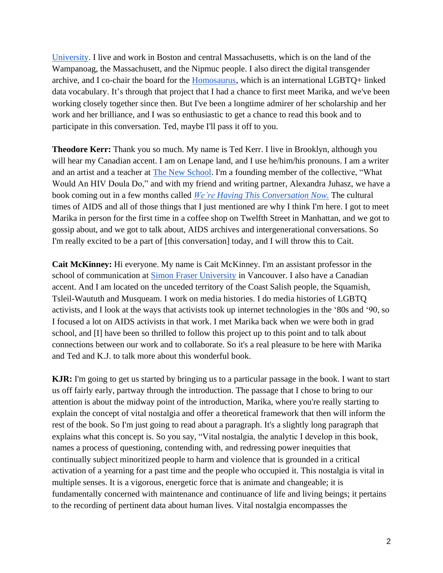[University.](https://www.northeastern.edu/) I live and work in Boston and central Massachusetts, which is on the land of the Wampanoag, the Massachusett, and the Nipmuc people. I also direct the digital transgender archive, and I co-chair the board for the [Homosaurus,](https://homosaurus.org/) which is an international LGBTQ+ linked data vocabulary. It's through that project that I had a chance to first meet Marika, and we've been working closely together since then. But I've been a longtime admirer of her scholarship and her work and her brilliance, and I was so enthusiastic to get a chance to read this book and to participate in this conversation. Ted, maybe I'll pass it off to you.

**Theodore Kerr:** Thank you so much. My name is Ted Kerr. I live in Brooklyn, although you will hear my Canadian accent. I am on Lenape land, and I use he/him/his pronouns. I am a writer and an artist and a teacher at [The New School.](https://www.newschool.edu/) I'm a founding member of the collective, "What Would An HIV Doula Do," and with my friend and writing partner, Alexandra Juhasz, we have a book coming out in a few months called *[We're](https://www.dukeupress.edu/we-are-having-this-conversation-now) [Having](https://www.dukeupress.edu/we-are-having-this-conversation-now) [This Conversation Now.](https://www.dukeupress.edu/we-are-having-this-conversation-now)* The cultural times of AIDS and all of those things that I just mentioned are why I think I'm here. I got to meet Marika in person for the first time in a coffee shop on Twelfth Street in Manhattan, and we got to gossip about, and we got to talk about, AIDS archives and intergenerational conversations. So I'm really excited to be a part of [this conversation] today, and I will throw this to Cait.

**Cait McKinney:** Hi everyone. My name is Cait McKinney. I'm an assistant professor in the school of communication at [Simon Fraser University](https://www.sfu.ca/) in Vancouver. I also have a Canadian accent. And I am located on the unceded territory of the Coast Salish people, the Squamish, Tsleil-Waututh and Musqueam. I work on media histories. I do media histories of LGBTQ activists, and I look at the ways that activists took up internet technologies in the '80s and '90, so I focused a lot on AIDS activists in that work. I met Marika back when we were both in grad school, and [I] have been so thrilled to follow this project up to this point and to talk about connections between our work and to collaborate. So it's a real pleasure to be here with Marika and Ted and K.J. to talk more about this wonderful book.

**KJR:** I'm going to get us started by bringing us to a particular passage in the book. I want to start us off fairly early, partway through the introduction. The passage that I chose to bring to our attention is about the midway point of the introduction, Marika, where you're really starting to explain the concept of vital nostalgia and offer a theoretical framework that then will inform the rest of the book. So I'm just going to read about a paragraph. It's a slightly long paragraph that explains what this concept is. So you say, "Vital nostalgia, the analytic I develop in this book, names a process of questioning, contending with, and redressing power inequities that continually subject minoritized people to harm and violence that is grounded in a critical activation of a yearning for a past time and the people who occupied it. This nostalgia is vital in multiple senses. It is a vigorous, energetic force that is animate and changeable; it is fundamentally concerned with maintenance and continuance of life and living beings; it pertains to the recording of pertinent data about human lives. Vital nostalgia encompasses the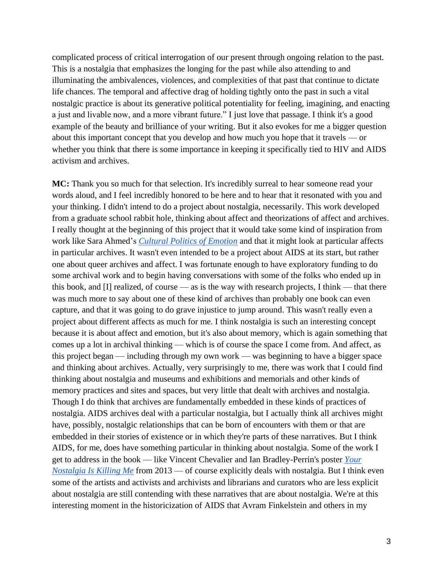complicated process of critical interrogation of our present through ongoing relation to the past. This is a nostalgia that emphasizes the longing for the past while also attending to and illuminating the ambivalences, violences, and complexities of that past that continue to dictate life chances. The temporal and affective drag of holding tightly onto the past in such a vital nostalgic practice is about its generative political potentiality for feeling, imagining, and enacting a just and livable now, and a more vibrant future." I just love that passage. I think it's a good example of the beauty and brilliance of your writing. But it also evokes for me a bigger question about this important concept that you develop and how much you hope that it travels — or whether you think that there is some importance in keeping it specifically tied to HIV and AIDS activism and archives.

**MC:** Thank you so much for that selection. It's incredibly surreal to hear someone read your words aloud, and I feel incredibly honored to be here and to hear that it resonated with you and your thinking. I didn't intend to do a project about nostalgia, necessarily. This work developed from a graduate school rabbit hole, thinking about affect and theorizations of affect and archives. I really thought at the beginning of this project that it would take some kind of inspiration from work like Sara Ahmed's *[Cultural Politics of Emotion](https://www.jstor.org/stable/10.3366/j.ctt1g09x4q)* and that it might look at particular affects in particular archives. It wasn't even intended to be a project about AIDS at its start, but rather one about queer archives and affect. I was fortunate enough to have exploratory funding to do some archival work and to begin having conversations with some of the folks who ended up in this book, and [I] realized, of course — as is the way with research projects, I think — that there was much more to say about one of these kind of archives than probably one book can even capture, and that it was going to do grave injustice to jump around. This wasn't really even a project about different affects as much for me. I think nostalgia is such an interesting concept because it is about affect and emotion, but it's also about memory, which is again something that comes up a lot in archival thinking — which is of course the space I come from. And affect, as this project began — including through my own work — was beginning to have a bigger space and thinking about archives. Actually, very surprisingly to me, there was work that I could find thinking about nostalgia and museums and exhibitions and memorials and other kinds of memory practices and sites and spaces, but very little that dealt with archives and nostalgia. Though I do think that archives are fundamentally embedded in these kinds of practices of nostalgia. AIDS archives deal with a particular nostalgia, but I actually think all archives might have, possibly, nostalgic relationships that can be born of encounters with them or that are embedded in their stories of existence or in which they're parts of these narratives. But I think AIDS, for me, does have something particular in thinking about nostalgia. Some of the work I get to address in the book — like Vincent Chevalier and Ian Bradley-Perrin's poster *[Your](https://visualaids.org/events/detail/your-nostalgia-is-killing-me-a-catalyst-for-conversation-about-aids-and-vis)  [Nostalgia Is Killing Me](https://visualaids.org/events/detail/your-nostalgia-is-killing-me-a-catalyst-for-conversation-about-aids-and-vis)* from 2013 — of course explicitly deals with nostalgia. But I think even some of the artists and activists and archivists and librarians and curators who are less explicit about nostalgia are still contending with these narratives that are about nostalgia. We're at this interesting moment in the historicization of AIDS that Avram Finkelstein and others in my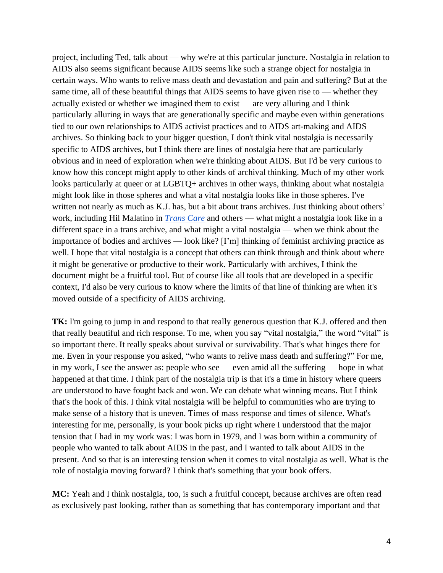project, including Ted, talk about — why we're at this particular juncture. Nostalgia in relation to AIDS also seems significant because AIDS seems like such a strange object for nostalgia in certain ways. Who wants to relive mass death and devastation and pain and suffering? But at the same time, all of these beautiful things that AIDS seems to have given rise to — whether they actually existed or whether we imagined them to exist — are very alluring and I think particularly alluring in ways that are generationally specific and maybe even within generations tied to our own relationships to AIDS activist practices and to AIDS art-making and AIDS archives. So thinking back to your bigger question, I don't think vital nostalgia is necessarily specific to AIDS archives, but I think there are lines of nostalgia here that are particularly obvious and in need of exploration when we're thinking about AIDS. But I'd be very curious to know how this concept might apply to other kinds of archival thinking. Much of my other work looks particularly at queer or at LGBTQ+ archives in other ways, thinking about what nostalgia might look like in those spheres and what a vital nostalgia looks like in those spheres. I've written not nearly as much as K.J. has, but a bit about trans archives. Just thinking about others' work, including Hil Malatino in *[Trans Care](https://www.upress.umn.edu/book-division/books/trans-care)* and others — what might a nostalgia look like in a different space in a trans archive, and what might a vital nostalgia — when we think about the importance of bodies and archives — look like? [I'm] thinking of feminist archiving practice as well. I hope that vital nostalgia is a concept that others can think through and think about where it might be generative or productive to their work. Particularly with archives, I think the document might be a fruitful tool. But of course like all tools that are developed in a specific context, I'd also be very curious to know where the limits of that line of thinking are when it's moved outside of a specificity of AIDS archiving.

**TK:** I'm going to jump in and respond to that really generous question that K.J. offered and then that really beautiful and rich response. To me, when you say "vital nostalgia," the word "vital" is so important there. It really speaks about survival or survivability. That's what hinges there for me. Even in your response you asked, "who wants to relive mass death and suffering?" For me, in my work, I see the answer as: people who see — even amid all the suffering — hope in what happened at that time. I think part of the nostalgia trip is that it's a time in history where queers are understood to have fought back and won. We can debate what winning means. But I think that's the hook of this. I think vital nostalgia will be helpful to communities who are trying to make sense of a history that is uneven. Times of mass response and times of silence. What's interesting for me, personally, is your book picks up right where I understood that the major tension that I had in my work was: I was born in 1979, and I was born within a community of people who wanted to talk about AIDS in the past, and I wanted to talk about AIDS in the present. And so that is an interesting tension when it comes to vital nostalgia as well. What is the role of nostalgia moving forward? I think that's something that your book offers.

**MC:** Yeah and I think nostalgia, too, is such a fruitful concept, because archives are often read as exclusively past looking, rather than as something that has contemporary important and that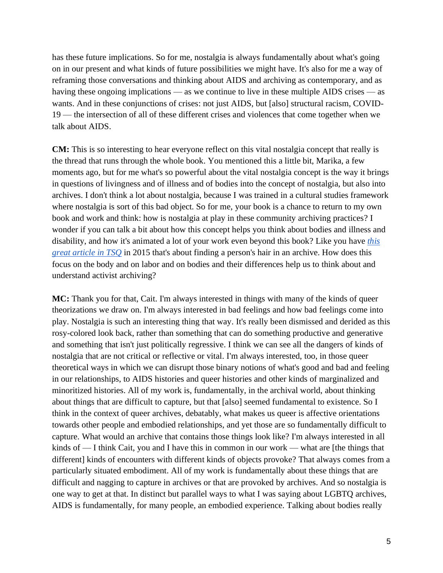has these future implications. So for me, nostalgia is always fundamentally about what's going on in our present and what kinds of future possibilities we might have. It's also for me a way of reframing those conversations and thinking about AIDS and archiving as contemporary, and as having these ongoing implications — as we continue to live in these multiple AIDS crises — as wants. And in these conjunctions of crises: not just AIDS, but [also] structural racism, COVID-19 — the intersection of all of these different crises and violences that come together when we talk about AIDS.

**CM:** This is so interesting to hear everyone reflect on this vital nostalgia concept that really is the thread that runs through the whole book. You mentioned this a little bit, Marika, a few moments ago, but for me what's so powerful about the vital nostalgia concept is the way it brings in questions of livingness and of illness and of bodies into the concept of nostalgia, but also into archives. I don't think a lot about nostalgia, because I was trained in a cultural studies framework where nostalgia is sort of this bad object. So for me, your book is a chance to return to my own book and work and think: how is nostalgia at play in these community archiving practices? I wonder if you can talk a bit about how this concept helps you think about bodies and illness and disability, and how it's animated a lot of your work even beyond this book? Like you have *[this](https://read.dukeupress.edu/tsq/article-abstract/2/4/645/24766/Presence-Absence-and-Victoria-s-HairExamining?redirectedFrom=fulltext)  [great article](https://read.dukeupress.edu/tsq/article-abstract/2/4/645/24766/Presence-Absence-and-Victoria-s-HairExamining?redirectedFrom=fulltext) [in TSQ](https://read.dukeupress.edu/tsq/article-abstract/2/4/645/24766/Presence-Absence-and-Victoria-s-HairExamining?redirectedFrom=fulltext)* in 2015 that's about finding a person's hair in an archive. How does this focus on the body and on labor and on bodies and their differences help us to think about and understand activist archiving?

**MC:** Thank you for that, Cait. I'm always interested in things with many of the kinds of queer theorizations we draw on. I'm always interested in bad feelings and how bad feelings come into play. Nostalgia is such an interesting thing that way. It's really been dismissed and derided as this rosy-colored look back, rather than something that can do something productive and generative and something that isn't just politically regressive. I think we can see all the dangers of kinds of nostalgia that are not critical or reflective or vital. I'm always interested, too, in those queer theoretical ways in which we can disrupt those binary notions of what's good and bad and feeling in our relationships, to AIDS histories and queer histories and other kinds of marginalized and minoritized histories. All of my work is, fundamentally, in the archival world, about thinking about things that are difficult to capture, but that [also] seemed fundamental to existence. So I think in the context of queer archives, debatably, what makes us queer is affective orientations towards other people and embodied relationships, and yet those are so fundamentally difficult to capture. What would an archive that contains those things look like? I'm always interested in all kinds of — I think Cait, you and I have this in common in our work — what are [the things that different] kinds of encounters with different kinds of objects provoke? That always comes from a particularly situated embodiment. All of my work is fundamentally about these things that are difficult and nagging to capture in archives or that are provoked by archives. And so nostalgia is one way to get at that. In distinct but parallel ways to what I was saying about LGBTQ archives, AIDS is fundamentally, for many people, an embodied experience. Talking about bodies really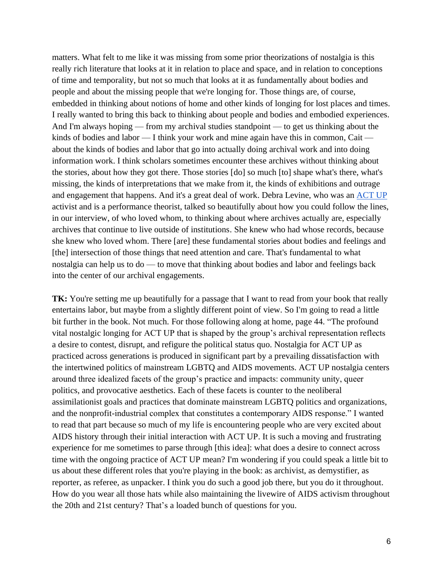matters. What felt to me like it was missing from some prior theorizations of nostalgia is this really rich literature that looks at it in relation to place and space, and in relation to conceptions of time and temporality, but not so much that looks at it as fundamentally about bodies and people and about the missing people that we're longing for. Those things are, of course, embedded in thinking about notions of home and other kinds of longing for lost places and times. I really wanted to bring this back to thinking about people and bodies and embodied experiences. And I'm always hoping — from my archival studies standpoint — to get us thinking about the kinds of bodies and labor — I think your work and mine again have this in common, Cait about the kinds of bodies and labor that go into actually doing archival work and into doing information work. I think scholars sometimes encounter these archives without thinking about the stories, about how they got there. Those stories [do] so much [to] shape what's there, what's missing, the kinds of interpretations that we make from it, the kinds of exhibitions and outrage and engagement that happens. And it's a great deal of work. Debra Levine, who was an [ACT UP](https://actupny.com/) activist and is a performance theorist, talked so beautifully about how you could follow the lines, in our interview, of who loved whom, to thinking about where archives actually are, especially archives that continue to live outside of institutions. She knew who had whose records, because she knew who loved whom. There [are] these fundamental stories about bodies and feelings and [the] intersection of those things that need attention and care. That's fundamental to what nostalgia can help us to do — to move that thinking about bodies and labor and feelings back into the center of our archival engagements.

**TK:** You're setting me up beautifully for a passage that I want to read from your book that really entertains labor, but maybe from a slightly different point of view. So I'm going to read a little bit further in the book. Not much. For those following along at home, page 44. "The profound vital nostalgic longing for ACT UP that is shaped by the group's archival representation reflects a desire to contest, disrupt, and refigure the political status quo. Nostalgia for ACT UP as practiced across generations is produced in significant part by a prevailing dissatisfaction with the intertwined politics of mainstream LGBTQ and AIDS movements. ACT UP nostalgia centers around three idealized facets of the group's practice and impacts: community unity, queer politics, and provocative aesthetics. Each of these facets is counter to the neoliberal assimilationist goals and practices that dominate mainstream LGBTQ politics and organizations, and the nonprofit-industrial complex that constitutes a contemporary AIDS response." I wanted to read that part because so much of my life is encountering people who are very excited about AIDS history through their initial interaction with ACT UP. It is such a moving and frustrating experience for me sometimes to parse through [this idea]: what does a desire to connect across time with the ongoing practice of ACT UP mean? I'm wondering if you could speak a little bit to us about these different roles that you're playing in the book: as archivist, as demystifier, as reporter, as referee, as unpacker. I think you do such a good job there, but you do it throughout. How do you wear all those hats while also maintaining the livewire of AIDS activism throughout the 20th and 21st century? That's a loaded bunch of questions for you.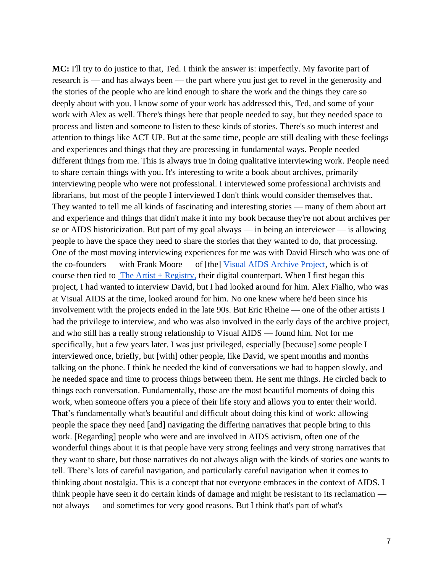**MC:** I'll try to do justice to that, Ted. I think the answer is: imperfectly. My favorite part of research is — and has always been — the part where you just get to revel in the generosity and the stories of the people who are kind enough to share the work and the things they care so deeply about with you. I know some of your work has addressed this, Ted, and some of your work with Alex as well. There's things here that people needed to say, but they needed space to process and listen and someone to listen to these kinds of stories. There's so much interest and attention to things like ACT UP. But at the same time, people are still dealing with these feelings and experiences and things that they are processing in fundamental ways. People needed different things from me. This is always true in doing qualitative interviewing work. People need to share certain things with you. It's interesting to write a book about archives, primarily interviewing people who were not professional. I interviewed some professional archivists and librarians, but most of the people I interviewed I don't think would consider themselves that. They wanted to tell me all kinds of fascinating and interesting stories — many of them about art and experience and things that didn't make it into my book because they're not about archives per se or AIDS historicization. But part of my goal always — in being an interviewer — is allowing people to have the space they need to share the stories that they wanted to do, that processing. One of the most moving interviewing experiences for me was with David Hirsch who was one of the co-founders — with Frank Moore — of [the] [Visual AIDS](https://visualaids.org/projects/the-artist-registry-and-archive-project) [Archive Project,](https://visualaids.org/projects/the-artist-registry-and-archive-project) which is of course then tied to [The Artist + Registry,](https://visualaids.org/artists) their digital counterpart. When I first began this project, I had wanted to interview David, but I had looked around for him. Alex Fialho, who was at Visual AIDS at the time, looked around for him. No one knew where he'd been since his involvement with the projects ended in the late 90s. But Eric Rheine — one of the other artists I had the privilege to interview, and who was also involved in the early days of the archive project, and who still has a really strong relationship to Visual AIDS — found him. Not for me specifically, but a few years later. I was just privileged, especially [because] some people I interviewed once, briefly, but [with] other people, like David, we spent months and months talking on the phone. I think he needed the kind of conversations we had to happen slowly, and he needed space and time to process things between them. He sent me things. He circled back to things each conversation. Fundamentally, those are the most beautiful moments of doing this work, when someone offers you a piece of their life story and allows you to enter their world. That's fundamentally what's beautiful and difficult about doing this kind of work: allowing people the space they need [and] navigating the differing narratives that people bring to this work. [Regarding] people who were and are involved in AIDS activism, often one of the wonderful things about it is that people have very strong feelings and very strong narratives that they want to share, but those narratives do not always align with the kinds of stories one wants to tell. There's lots of careful navigation, and particularly careful navigation when it comes to thinking about nostalgia. This is a concept that not everyone embraces in the context of AIDS. I think people have seen it do certain kinds of damage and might be resistant to its reclamation not always — and sometimes for very good reasons. But I think that's part of what's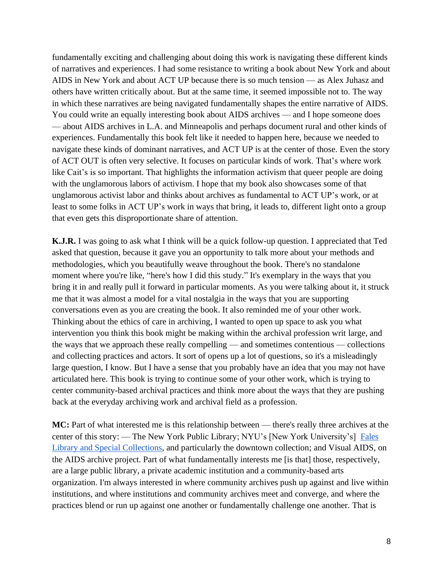fundamentally exciting and challenging about doing this work is navigating these different kinds of narratives and experiences. I had some resistance to writing a book about New York and about AIDS in New York and about ACT UP because there is so much tension — as Alex Juhasz and others have written critically about. But at the same time, it seemed impossible not to. The way in which these narratives are being navigated fundamentally shapes the entire narrative of AIDS. You could write an equally interesting book about AIDS archives — and I hope someone does — about AIDS archives in L.A. and Minneapolis and perhaps document rural and other kinds of experiences. Fundamentally this book felt like it needed to happen here, because we needed to navigate these kinds of dominant narratives, and ACT UP is at the center of those. Even the story of ACT OUT is often very selective. It focuses on particular kinds of work. That's where work like Cait's is so important. That highlights the information activism that queer people are doing with the unglamorous labors of activism. I hope that my book also showcases some of that unglamorous activist labor and thinks about archives as fundamental to ACT UP's work, or at least to some folks in ACT UP's work in ways that bring, it leads to, different light onto a group that even gets this disproportionate share of attention.

**K.J.R.** I was going to ask what I think will be a quick follow-up question. I appreciated that Ted asked that question, because it gave you an opportunity to talk more about your methods and methodologies, which you beautifully weave throughout the book. There's no standalone moment where you're like, "here's how I did this study." It's exemplary in the ways that you bring it in and really pull it forward in particular moments. As you were talking about it, it struck me that it was almost a model for a vital nostalgia in the ways that you are supporting conversations even as you are creating the book. It also reminded me of your other work. Thinking about the ethics of care in archiving, I wanted to open up space to ask you what intervention you think this book might be making within the archival profession writ large, and the ways that we approach these really compelling — and sometimes contentious — collections and collecting practices and actors. It sort of opens up a lot of questions, so it's a misleadingly large question, I know. But I have a sense that you probably have an idea that you may not have articulated here. This book is trying to continue some of your other work, which is trying to center community-based archival practices and think more about the ways that they are pushing back at the everyday archiving work and archival field as a profession.

**MC:** Part of what interested me is this relationship between — there's really three archives at the center of this story: — The New York Public Library; NYU's [New York University's] [Fales](https://specialcollections.library.nyu.edu/search/fales)  [Library](https://specialcollections.library.nyu.edu/search/fales) [and Special Collections,](https://specialcollections.library.nyu.edu/search/fales) and particularly the downtown collection; and Visual AIDS, on the AIDS archive project. Part of what fundamentally interests me [is that] those, respectively, are a large public library, a private academic institution and a community-based arts organization. I'm always interested in where community archives push up against and live within institutions, and where institutions and community archives meet and converge, and where the practices blend or run up against one another or fundamentally challenge one another. That is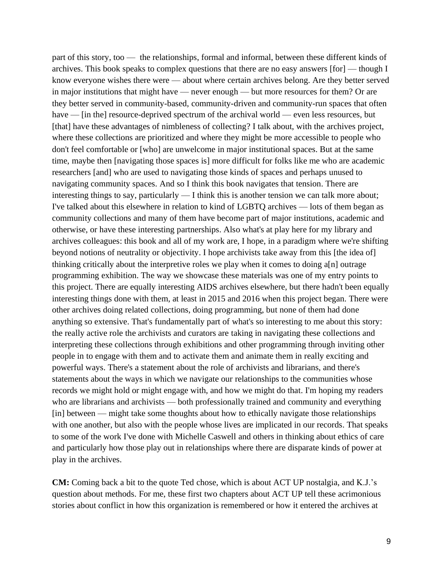part of this story, too — the relationships, formal and informal, between these different kinds of archives. This book speaks to complex questions that there are no easy answers [for] — though I know everyone wishes there were — about where certain archives belong. Are they better served in major institutions that might have — never enough — but more resources for them? Or are they better served in community-based, community-driven and community-run spaces that often have — [in the] resource-deprived spectrum of the archival world — even less resources, but [that] have these advantages of nimbleness of collecting? I talk about, with the archives project, where these collections are prioritized and where they might be more accessible to people who don't feel comfortable or [who] are unwelcome in major institutional spaces. But at the same time, maybe then [navigating those spaces is] more difficult for folks like me who are academic researchers [and] who are used to navigating those kinds of spaces and perhaps unused to navigating community spaces. And so I think this book navigates that tension. There are interesting things to say, particularly — I think this is another tension we can talk more about; I've talked about this elsewhere in relation to kind of LGBTQ archives — lots of them began as community collections and many of them have become part of major institutions, academic and otherwise, or have these interesting partnerships. Also what's at play here for my library and archives colleagues: this book and all of my work are, I hope, in a paradigm where we're shifting beyond notions of neutrality or objectivity. I hope archivists take away from this [the idea of] thinking critically about the interpretive roles we play when it comes to doing a[n] outrage programming exhibition. The way we showcase these materials was one of my entry points to this project. There are equally interesting AIDS archives elsewhere, but there hadn't been equally interesting things done with them, at least in 2015 and 2016 when this project began. There were other archives doing related collections, doing programming, but none of them had done anything so extensive. That's fundamentally part of what's so interesting to me about this story: the really active role the archivists and curators are taking in navigating these collections and interpreting these collections through exhibitions and other programming through inviting other people in to engage with them and to activate them and animate them in really exciting and powerful ways. There's a statement about the role of archivists and librarians, and there's statements about the ways in which we navigate our relationships to the communities whose records we might hold or might engage with, and how we might do that. I'm hoping my readers who are librarians and archivists — both professionally trained and community and everything [in] between — might take some thoughts about how to ethically navigate those relationships with one another, but also with the people whose lives are implicated in our records. That speaks to some of the work I've done with Michelle Caswell and others in thinking about ethics of care and particularly how those play out in relationships where there are disparate kinds of power at play in the archives.

**CM:** Coming back a bit to the quote Ted chose, which is about ACT UP nostalgia, and K.J.'s question about methods. For me, these first two chapters about ACT UP tell these acrimonious stories about conflict in how this organization is remembered or how it entered the archives at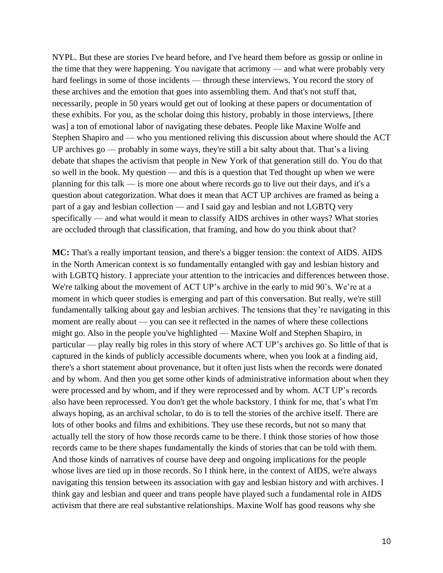NYPL. But these are stories I've heard before, and I've heard them before as gossip or online in the time that they were happening. You navigate that acrimony — and what were probably very hard feelings in some of those incidents — through these interviews. You record the story of these archives and the emotion that goes into assembling them. And that's not stuff that, necessarily, people in 50 years would get out of looking at these papers or documentation of these exhibits. For you, as the scholar doing this history, probably in those interviews, [there was] a ton of emotional labor of navigating these debates. People like Maxine Wolfe and Stephen Shapiro and — who you mentioned reliving this discussion about where should the ACT UP archives go — probably in some ways, they're still a bit salty about that. That's a living debate that shapes the activism that people in New York of that generation still do. You do that so well in the book. My question — and this is a question that Ted thought up when we were planning for this talk — is more one about where records go to live out their days, and it's a question about categorization. What does it mean that ACT UP archives are framed as being a part of a gay and lesbian collection — and I said gay and lesbian and not LGBTQ very specifically — and what would it mean to classify AIDS archives in other ways? What stories are occluded through that classification, that framing, and how do you think about that?

**MC:** That's a really important tension, and there's a bigger tension: the context of AIDS. AIDS in the North American context is so fundamentally entangled with gay and lesbian history and with LGBTQ history. I appreciate your attention to the intricacies and differences between those. We're talking about the movement of ACT UP's archive in the early to mid 90's. We're at a moment in which queer studies is emerging and part of this conversation. But really, we're still fundamentally talking about gay and lesbian archives. The tensions that they're navigating in this moment are really about — you can see it reflected in the names of where these collections might go. Also in the people you've highlighted — Maxine Wolf and Stephen Shapiro, in particular — play really big roles in this story of where ACT UP's archives go. So little of that is captured in the kinds of publicly accessible documents where, when you look at a finding aid, there's a short statement about provenance, but it often just lists when the records were donated and by whom. And then you get some other kinds of administrative information about when they were processed and by whom, and if they were reprocessed and by whom. ACT UP's records also have been reprocessed. You don't get the whole backstory. I think for me, that's what I'm always hoping, as an archival scholar, to do is to tell the stories of the archive itself. There are lots of other books and films and exhibitions. They use these records, but not so many that actually tell the story of how those records came to be there. I think those stories of how those records came to be there shapes fundamentally the kinds of stories that can be told with them. And those kinds of narratives of course have deep and ongoing implications for the people whose lives are tied up in those records. So I think here, in the context of AIDS, we're always navigating this tension between its association with gay and lesbian history and with archives. I think gay and lesbian and queer and trans people have played such a fundamental role in AIDS activism that there are real substantive relationships. Maxine Wolf has good reasons why she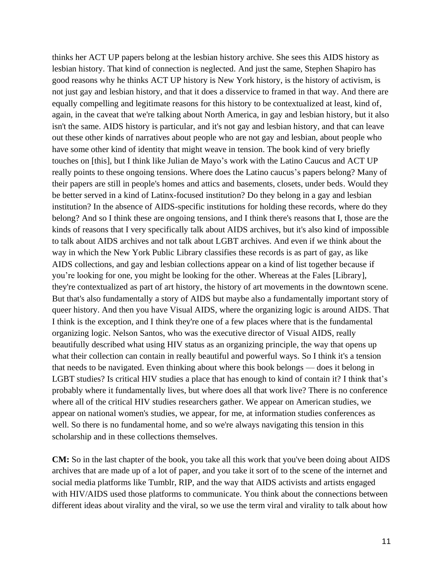thinks her ACT UP papers belong at the lesbian history archive. She sees this AIDS history as lesbian history. That kind of connection is neglected. And just the same, Stephen Shapiro has good reasons why he thinks ACT UP history is New York history, is the history of activism, is not just gay and lesbian history, and that it does a disservice to framed in that way. And there are equally compelling and legitimate reasons for this history to be contextualized at least, kind of, again, in the caveat that we're talking about North America, in gay and lesbian history, but it also isn't the same. AIDS history is particular, and it's not gay and lesbian history, and that can leave out these other kinds of narratives about people who are not gay and lesbian, about people who have some other kind of identity that might weave in tension. The book kind of very briefly touches on [this], but I think like Julian de Mayo's work with the Latino Caucus and ACT UP really points to these ongoing tensions. Where does the Latino caucus's papers belong? Many of their papers are still in people's homes and attics and basements, closets, under beds. Would they be better served in a kind of Latinx-focused institution? Do they belong in a gay and lesbian institution? In the absence of AIDS-specific institutions for holding these records, where do they belong? And so I think these are ongoing tensions, and I think there's reasons that I, those are the kinds of reasons that I very specifically talk about AIDS archives, but it's also kind of impossible to talk about AIDS archives and not talk about LGBT archives. And even if we think about the way in which the New York Public Library classifies these records is as part of gay, as like AIDS collections, and gay and lesbian collections appear on a kind of list together because if you're looking for one, you might be looking for the other. Whereas at the Fales [Library], they're contextualized as part of art history, the history of art movements in the downtown scene. But that's also fundamentally a story of AIDS but maybe also a fundamentally important story of queer history. And then you have Visual AIDS, where the organizing logic is around AIDS. That I think is the exception, and I think they're one of a few places where that is the fundamental organizing logic. Nelson Santos, who was the executive director of Visual AIDS, really beautifully described what using HIV status as an organizing principle, the way that opens up what their collection can contain in really beautiful and powerful ways. So I think it's a tension that needs to be navigated. Even thinking about where this book belongs — does it belong in LGBT studies? Is critical HIV studies a place that has enough to kind of contain it? I think that's probably where it fundamentally lives, but where does all that work live? There is no conference where all of the critical HIV studies researchers gather. We appear on American studies, we appear on national women's studies, we appear, for me, at information studies conferences as well. So there is no fundamental home, and so we're always navigating this tension in this scholarship and in these collections themselves.

**CM:** So in the last chapter of the book, you take all this work that you've been doing about AIDS archives that are made up of a lot of paper, and you take it sort of to the scene of the internet and social media platforms like Tumblr, RIP, and the way that AIDS activists and artists engaged with HIV/AIDS used those platforms to communicate. You think about the connections between different ideas about virality and the viral, so we use the term viral and virality to talk about how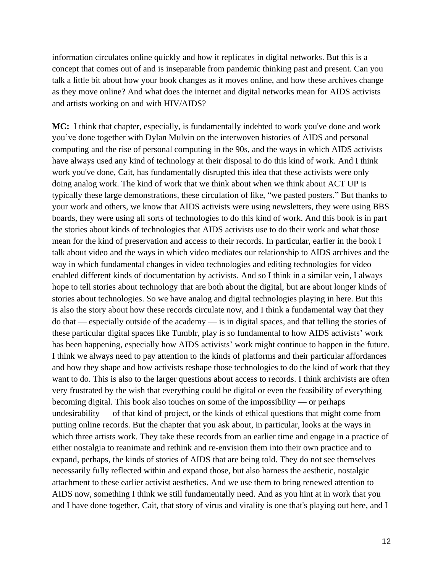information circulates online quickly and how it replicates in digital networks. But this is a concept that comes out of and is inseparable from pandemic thinking past and present. Can you talk a little bit about how your book changes as it moves online, and how these archives change as they move online? And what does the internet and digital networks mean for AIDS activists and artists working on and with HIV/AIDS?

**MC:** I think that chapter, especially, is fundamentally indebted to work you've done and work you've done together with Dylan Mulvin on the interwoven histories of AIDS and personal computing and the rise of personal computing in the 90s, and the ways in which AIDS activists have always used any kind of technology at their disposal to do this kind of work. And I think work you've done, Cait, has fundamentally disrupted this idea that these activists were only doing analog work. The kind of work that we think about when we think about ACT UP is typically these large demonstrations, these circulation of like, "we pasted posters." But thanks to your work and others, we know that AIDS activists were using newsletters, they were using BBS boards, they were using all sorts of technologies to do this kind of work. And this book is in part the stories about kinds of technologies that AIDS activists use to do their work and what those mean for the kind of preservation and access to their records. In particular, earlier in the book I talk about video and the ways in which video mediates our relationship to AIDS archives and the way in which fundamental changes in video technologies and editing technologies for video enabled different kinds of documentation by activists. And so I think in a similar vein, I always hope to tell stories about technology that are both about the digital, but are about longer kinds of stories about technologies. So we have analog and digital technologies playing in here. But this is also the story about how these records circulate now, and I think a fundamental way that they do that — especially outside of the academy — is in digital spaces, and that telling the stories of these particular digital spaces like Tumblr, play is so fundamental to how AIDS activists' work has been happening, especially how AIDS activists' work might continue to happen in the future. I think we always need to pay attention to the kinds of platforms and their particular affordances and how they shape and how activists reshape those technologies to do the kind of work that they want to do. This is also to the larger questions about access to records. I think archivists are often very frustrated by the wish that everything could be digital or even the feasibility of everything becoming digital. This book also touches on some of the impossibility — or perhaps undesirability — of that kind of project, or the kinds of ethical questions that might come from putting online records. But the chapter that you ask about, in particular, looks at the ways in which three artists work. They take these records from an earlier time and engage in a practice of either nostalgia to reanimate and rethink and re-envision them into their own practice and to expand, perhaps, the kinds of stories of AIDS that are being told. They do not see themselves necessarily fully reflected within and expand those, but also harness the aesthetic, nostalgic attachment to these earlier activist aesthetics. And we use them to bring renewed attention to AIDS now, something I think we still fundamentally need. And as you hint at in work that you and I have done together, Cait, that story of virus and virality is one that's playing out here, and I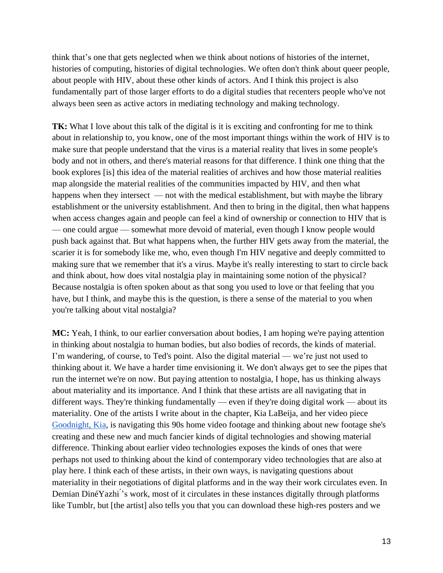think that's one that gets neglected when we think about notions of histories of the internet, histories of computing, histories of digital technologies. We often don't think about queer people, about people with HIV, about these other kinds of actors. And I think this project is also fundamentally part of those larger efforts to do a digital studies that recenters people who've not always been seen as active actors in mediating technology and making technology.

**TK:** What I love about this talk of the digital is it is exciting and confronting for me to think about in relationship to, you know, one of the most important things within the work of HIV is to make sure that people understand that the virus is a material reality that lives in some people's body and not in others, and there's material reasons for that difference. I think one thing that the book explores [is] this idea of the material realities of archives and how those material realities map alongside the material realities of the communities impacted by HIV, and then what happens when they intersect — not with the medical establishment, but with maybe the library establishment or the university establishment. And then to bring in the digital, then what happens when access changes again and people can feel a kind of ownership or connection to HIV that is — one could argue — somewhat more devoid of material, even though I know people would push back against that. But what happens when, the further HIV gets away from the material, the scarier it is for somebody like me, who, even though I'm HIV negative and deeply committed to making sure that we remember that it's a virus. Maybe it's really interesting to start to circle back and think about, how does vital nostalgia play in maintaining some notion of the physical? Because nostalgia is often spoken about as that song you used to love or that feeling that you have, but I think, and maybe this is the question, is there a sense of the material to you when you're talking about vital nostalgia?

**MC:** Yeah, I think, to our earlier conversation about bodies, I am hoping we're paying attention in thinking about nostalgia to human bodies, but also bodies of records, the kinds of material. I'm wandering, of course, to Ted's point. Also the digital material — we're just not used to thinking about it. We have a harder time envisioning it. We don't always get to see the pipes that run the internet we're on now. But paying attention to nostalgia, I hope, has us thinking always about materiality and its importance. And I think that these artists are all navigating that in different ways. They're thinking fundamentally — even if they're doing digital work — about its materiality. One of the artists I write about in the chapter, Kia LaBeija, and her video piece [Goodnight, Kia,](https://vimeo.com/245609278) is navigating this 90s home video footage and thinking about new footage she's creating and these new and much fancier kinds of digital technologies and showing material difference. Thinking about earlier video technologies exposes the kinds of ones that were perhaps not used to thinking about the kind of contemporary video technologies that are also at play here. I think each of these artists, in their own ways, is navigating questions about materiality in their negotiations of digital platforms and in the way their work circulates even. In Demian DinéYazhi<sup>'</sup>'s work, most of it circulates in these instances digitally through platforms like Tumblr, but [the artist] also tells you that you can download these high-res posters and we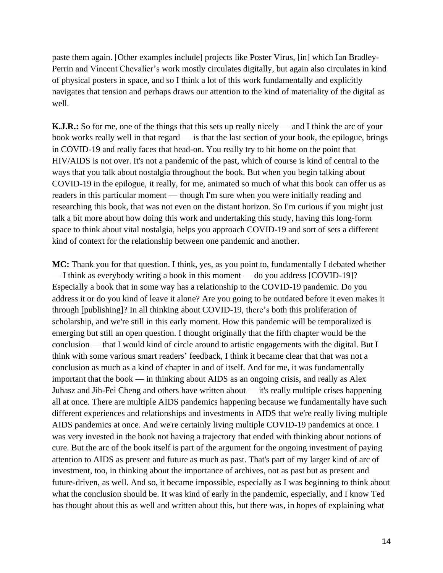paste them again. [Other examples include] projects like Poster Virus, [in] which Ian Bradley-Perrin and Vincent Chevalier's work mostly circulates digitally, but again also circulates in kind of physical posters in space, and so I think a lot of this work fundamentally and explicitly navigates that tension and perhaps draws our attention to the kind of materiality of the digital as well.

**K.J.R.:** So for me, one of the things that this sets up really nicely — and I think the arc of your book works really well in that regard — is that the last section of your book, the epilogue, brings in COVID-19 and really faces that head-on. You really try to hit home on the point that HIV/AIDS is not over. It's not a pandemic of the past, which of course is kind of central to the ways that you talk about nostalgia throughout the book. But when you begin talking about COVID-19 in the epilogue, it really, for me, animated so much of what this book can offer us as readers in this particular moment — though I'm sure when you were initially reading and researching this book, that was not even on the distant horizon. So I'm curious if you might just talk a bit more about how doing this work and undertaking this study, having this long-form space to think about vital nostalgia, helps you approach COVID-19 and sort of sets a different kind of context for the relationship between one pandemic and another.

**MC:** Thank you for that question. I think, yes, as you point to, fundamentally I debated whether — I think as everybody writing a book in this moment — do you address [COVID-19]? Especially a book that in some way has a relationship to the COVID-19 pandemic. Do you address it or do you kind of leave it alone? Are you going to be outdated before it even makes it through [publishing]? In all thinking about COVID-19, there's both this proliferation of scholarship, and we're still in this early moment. How this pandemic will be temporalized is emerging but still an open question. I thought originally that the fifth chapter would be the conclusion — that I would kind of circle around to artistic engagements with the digital. But I think with some various smart readers' feedback, I think it became clear that that was not a conclusion as much as a kind of chapter in and of itself. And for me, it was fundamentally important that the book — in thinking about AIDS as an ongoing crisis, and really as Alex Juhasz and Jih-Fei Cheng and others have written about — it's really multiple crises happening all at once. There are multiple AIDS pandemics happening because we fundamentally have such different experiences and relationships and investments in AIDS that we're really living multiple AIDS pandemics at once. And we're certainly living multiple COVID-19 pandemics at once. I was very invested in the book not having a trajectory that ended with thinking about notions of cure. But the arc of the book itself is part of the argument for the ongoing investment of paying attention to AIDS as present and future as much as past. That's part of my larger kind of arc of investment, too, in thinking about the importance of archives, not as past but as present and future-driven, as well. And so, it became impossible, especially as I was beginning to think about what the conclusion should be. It was kind of early in the pandemic, especially, and I know Ted has thought about this as well and written about this, but there was, in hopes of explaining what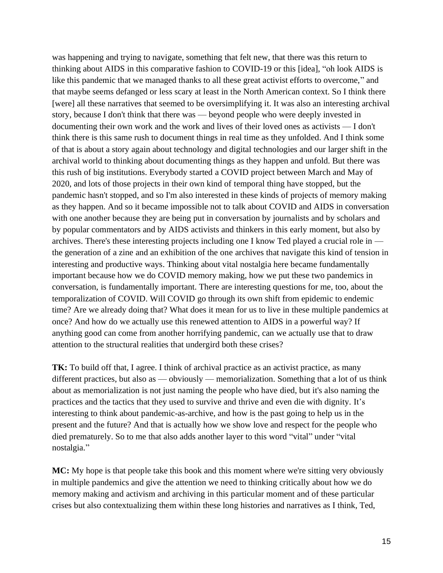was happening and trying to navigate, something that felt new, that there was this return to thinking about AIDS in this comparative fashion to COVID-19 or this [idea], "oh look AIDS is like this pandemic that we managed thanks to all these great activist efforts to overcome," and that maybe seems defanged or less scary at least in the North American context. So I think there [were] all these narratives that seemed to be oversimplifying it. It was also an interesting archival story, because I don't think that there was — beyond people who were deeply invested in documenting their own work and the work and lives of their loved ones as activists — I don't think there is this same rush to document things in real time as they unfolded. And I think some of that is about a story again about technology and digital technologies and our larger shift in the archival world to thinking about documenting things as they happen and unfold. But there was this rush of big institutions. Everybody started a COVID project between March and May of 2020, and lots of those projects in their own kind of temporal thing have stopped, but the pandemic hasn't stopped, and so I'm also interested in these kinds of projects of memory making as they happen. And so it became impossible not to talk about COVID and AIDS in conversation with one another because they are being put in conversation by journalists and by scholars and by popular commentators and by AIDS activists and thinkers in this early moment, but also by archives. There's these interesting projects including one I know Ted played a crucial role in the generation of a zine and an exhibition of the one archives that navigate this kind of tension in interesting and productive ways. Thinking about vital nostalgia here became fundamentally important because how we do COVID memory making, how we put these two pandemics in conversation, is fundamentally important. There are interesting questions for me, too, about the temporalization of COVID. Will COVID go through its own shift from epidemic to endemic time? Are we already doing that? What does it mean for us to live in these multiple pandemics at once? And how do we actually use this renewed attention to AIDS in a powerful way? If anything good can come from another horrifying pandemic, can we actually use that to draw attention to the structural realities that undergird both these crises?

**TK:** To build off that, I agree. I think of archival practice as an activist practice, as many different practices, but also as — obviously — memorialization. Something that a lot of us think about as memorialization is not just naming the people who have died, but it's also naming the practices and the tactics that they used to survive and thrive and even die with dignity. It's interesting to think about pandemic-as-archive, and how is the past going to help us in the present and the future? And that is actually how we show love and respect for the people who died prematurely. So to me that also adds another layer to this word "vital" under "vital nostalgia."

**MC:** My hope is that people take this book and this moment where we're sitting very obviously in multiple pandemics and give the attention we need to thinking critically about how we do memory making and activism and archiving in this particular moment and of these particular crises but also contextualizing them within these long histories and narratives as I think, Ted,